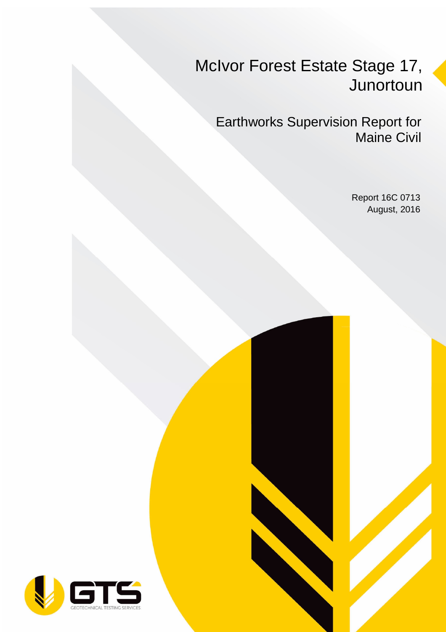## McIvor Forest Estate Stage 17, **Junortoun**

Earthworks Supervision Report for Maine Civil

> Report 16C 0713 August, 2016

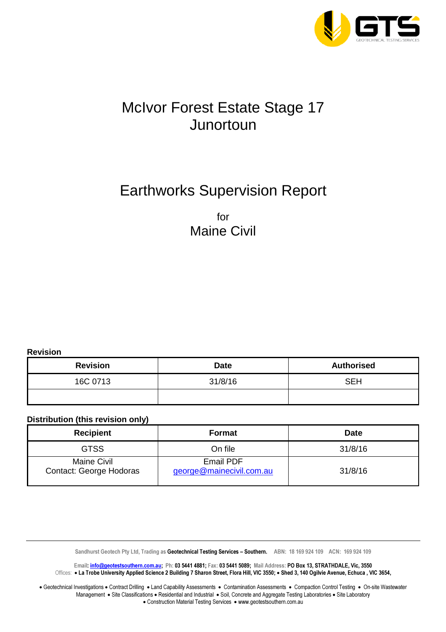

## McIvor Forest Estate Stage 17 **Junortoun**

## Earthworks Supervision Report

for Maine Civil

**Revision** 

| <b>Revision</b> | <b>Date</b> | <b>Authorised</b> |  |  |
|-----------------|-------------|-------------------|--|--|
| 16C 0713        | 31/8/16     | <b>SEH</b>        |  |  |
|                 |             |                   |  |  |

#### **Distribution (this revision only)**

| <b>Recipient</b>                              | Format                                | <b>Date</b> |  |  |
|-----------------------------------------------|---------------------------------------|-------------|--|--|
| <b>GTSS</b>                                   | On file                               | 31/8/16     |  |  |
| <b>Maine Civil</b><br>Contact: George Hodoras | Email PDF<br>george@mainecivil.com.au | 31/8/16     |  |  |

Sandhurst Geotech Pty Ltd, Trading as Geotechnical Testing Services - Southern. ABN: 18 169 924 109 ACN: 169 924 109

Email: info@geotestsouthern.com.au; Ph: 03 5441 4881; Fax: 03 5441 5089; Mail Address: PO Box 13, STRATHDALE, Vic, 3550 Offices: • La Trobe University Applied Science 2 Building 7 Sharon Street, Flora Hill, VIC 3550; • Shed 3, 140 Ogilvie Avenue, Echuca , VIC 3654,

• Geotechnical Investigations • Contract Drilling • Land Capability Assessments • Contamination Assessments • Compaction Control Testing • On-site Wastewater Management • Site Classifications • Residential and Industrial • Soil, Concrete and Aggregate Testing Laboratories • Site Laboratory • Construction Material Testing Services • www.geotestsouthern.com.au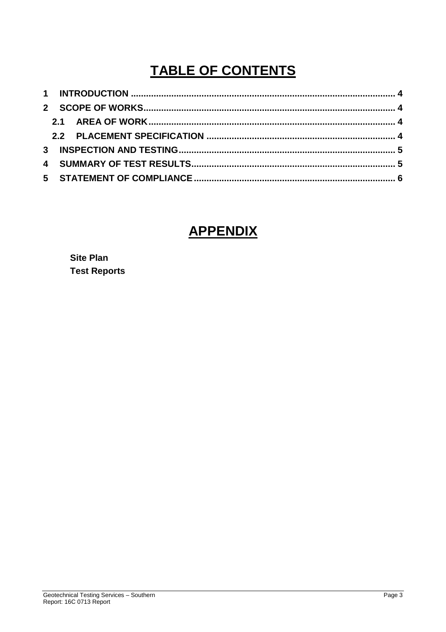## **TABLE OF CONTENTS**

### **APPENDIX**

**Site Plan Test Reports**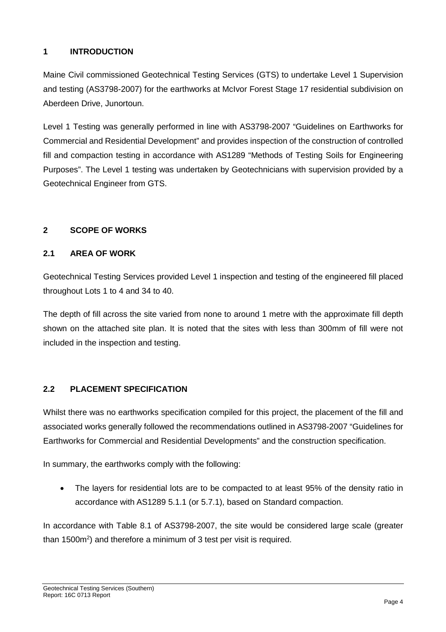#### **1 INTRODUCTION**

Maine Civil commissioned Geotechnical Testing Services (GTS) to undertake Level 1 Supervision and testing (AS3798-2007) for the earthworks at McIvor Forest Stage 17 residential subdivision on Aberdeen Drive, Junortoun.

Level 1 Testing was generally performed in line with AS3798-2007 "Guidelines on Earthworks for Commercial and Residential Development" and provides inspection of the construction of controlled fill and compaction testing in accordance with AS1289 "Methods of Testing Soils for Engineering Purposes". The Level 1 testing was undertaken by Geotechnicians with supervision provided by a Geotechnical Engineer from GTS.

#### **2 SCOPE OF WORKS**

#### **2.1 AREA OF WORK**

Geotechnical Testing Services provided Level 1 inspection and testing of the engineered fill placed throughout Lots 1 to 4 and 34 to 40.

The depth of fill across the site varied from none to around 1 metre with the approximate fill depth shown on the attached site plan. It is noted that the sites with less than 300mm of fill were not included in the inspection and testing.

#### **2.2 PLACEMENT SPECIFICATION**

Whilst there was no earthworks specification compiled for this project, the placement of the fill and associated works generally followed the recommendations outlined in AS3798-2007 "Guidelines for Earthworks for Commercial and Residential Developments" and the construction specification.

In summary, the earthworks comply with the following:

• The layers for residential lots are to be compacted to at least 95% of the density ratio in accordance with AS1289 5.1.1 (or 5.7.1), based on Standard compaction.

In accordance with Table 8.1 of AS3798-2007, the site would be considered large scale (greater than 1500 $m<sup>2</sup>$ ) and therefore a minimum of 3 test per visit is required.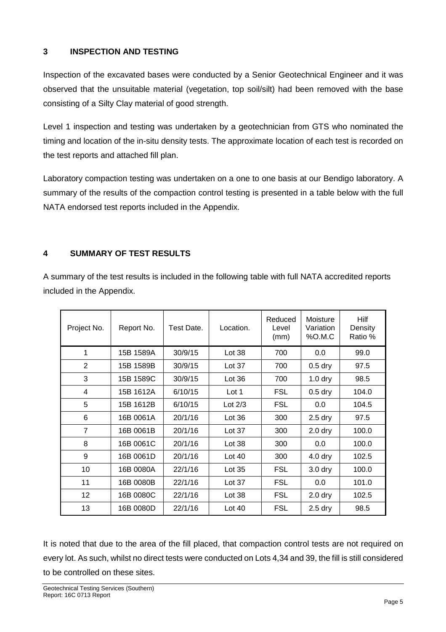#### **3 INSPECTION AND TESTING**

Inspection of the excavated bases were conducted by a Senior Geotechnical Engineer and it was observed that the unsuitable material (vegetation, top soil/silt) had been removed with the base consisting of a Silty Clay material of good strength.

Level 1 inspection and testing was undertaken by a geotechnician from GTS who nominated the timing and location of the in-situ density tests. The approximate location of each test is recorded on the test reports and attached fill plan.

Laboratory compaction testing was undertaken on a one to one basis at our Bendigo laboratory. A summary of the results of the compaction control testing is presented in a table below with the full NATA endorsed test reports included in the Appendix.

#### **4 SUMMARY OF TEST RESULTS**

A summary of the test results is included in the following table with full NATA accredited reports included in the Appendix.

| Project No.    | Report No. | Test Date. | Location. | Reduced<br>Level<br>(mm) | Moisture<br>Variation<br>%0.M.C | <b>Hilf</b><br>Density<br>Ratio % |
|----------------|------------|------------|-----------|--------------------------|---------------------------------|-----------------------------------|
| 1              | 15B 1589A  | 30/9/15    | Lot $38$  | 700                      | 0.0                             | 99.0                              |
| $\overline{2}$ | 15B 1589B  | 30/9/15    | Lot $37$  | 700                      | $0.5$ dry                       | 97.5                              |
| 3              | 15B 1589C  | 30/9/15    | Lot $36$  | 700                      | $1.0$ dry                       | 98.5                              |
| 4              | 15B 1612A  | 6/10/15    | Lot 1     | <b>FSL</b>               | $0.5$ dry                       | 104.0                             |
| 5              | 15B 1612B  | 6/10/15    | Lot $2/3$ | <b>FSL</b>               | 0.0                             | 104.5                             |
| 6              | 16B 0061A  | 20/1/16    | Lot 36    | 300                      | $2.5$ dry                       | 97.5                              |
| $\overline{7}$ | 16B 0061B  | 20/1/16    | Lot 37    | 300                      | $2.0$ dry                       | 100.0                             |
| 8              | 16B 0061C  | 20/1/16    | Lot 38    | 300                      | 0.0                             | 100.0                             |
| 9              | 16B 0061D  | 20/1/16    | Lot $40$  | 300                      | $4.0$ dry                       | 102.5                             |
| 10             | 16B 0080A  | 22/1/16    | Lot $35$  | <b>FSL</b>               | 3.0 <sub>dry</sub>              | 100.0                             |
| 11             | 16B 0080B  | 22/1/16    | Lot $37$  | <b>FSL</b>               | 0.0                             | 101.0                             |
| 12             | 16B 0080C  | 22/1/16    | Lot $38$  | <b>FSL</b>               | $2.0$ dry                       | 102.5                             |
| 13             | 16B 0080D  | 22/1/16    | Lot $40$  | <b>FSL</b>               | $2.5$ dry                       | 98.5                              |

It is noted that due to the area of the fill placed, that compaction control tests are not required on every lot. As such, whilst no direct tests were conducted on Lots 4,34 and 39, the fill is still considered to be controlled on these sites.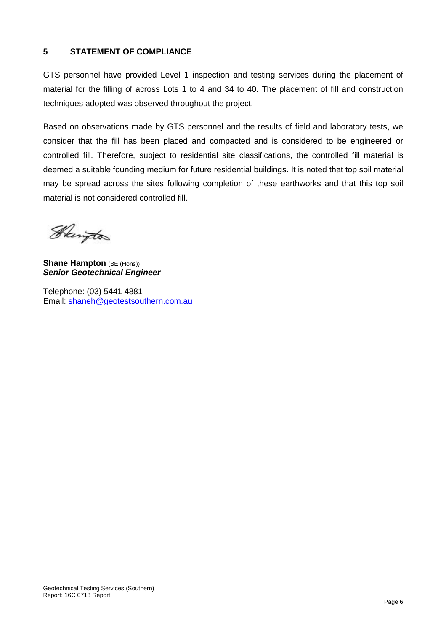#### **5 STATEMENT OF COMPLIANCE**

GTS personnel have provided Level 1 inspection and testing services during the placement of material for the filling of across Lots 1 to 4 and 34 to 40. The placement of fill and construction techniques adopted was observed throughout the project.

Based on observations made by GTS personnel and the results of field and laboratory tests, we consider that the fill has been placed and compacted and is considered to be engineered or controlled fill. Therefore, subject to residential site classifications, the controlled fill material is deemed a suitable founding medium for future residential buildings. It is noted that top soil material may be spread across the sites following completion of these earthworks and that this top soil material is not considered controlled fill.

Heington

**Shane Hampton** (BE (Hons)) **Senior Geotechnical Engineer** 

Telephone: (03) 5441 4881 Email: shaneh@geotestsouthern.com.au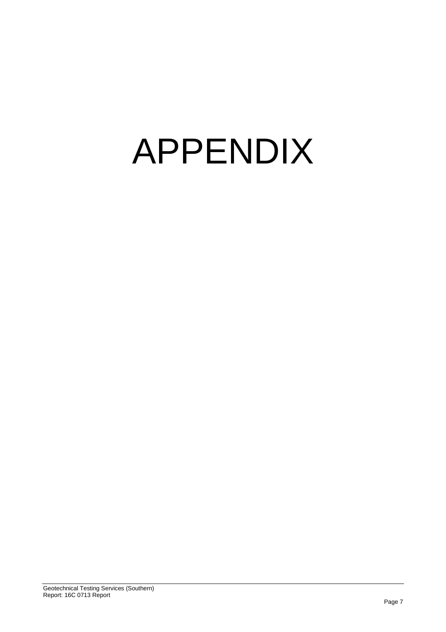# APPENDIX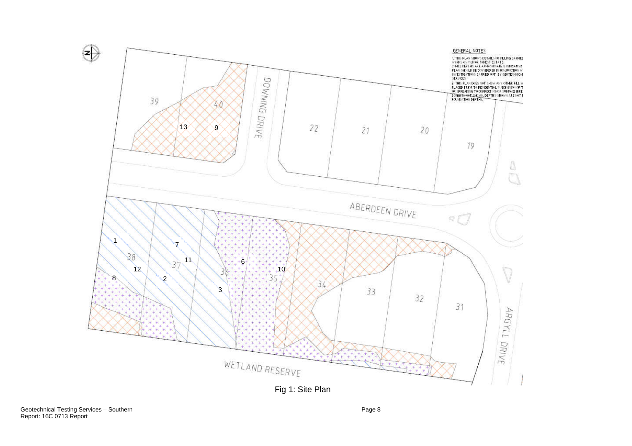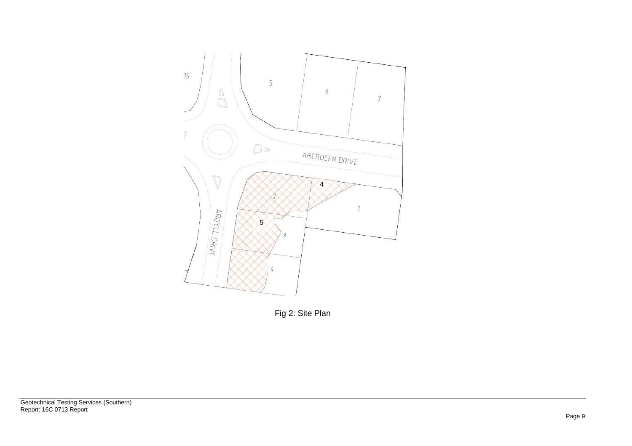

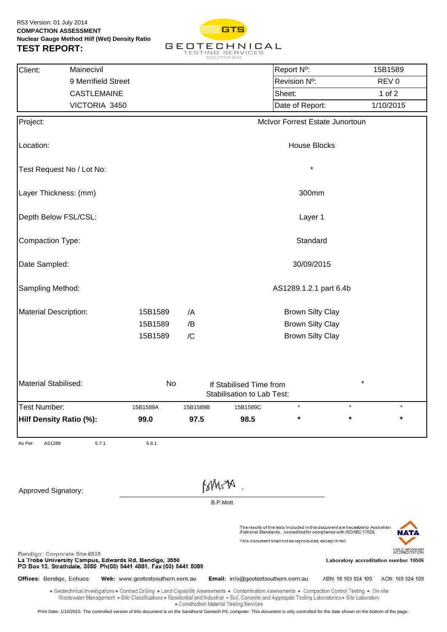

| Client:<br>Mainecivil                                                                                                                                     |                                                                                                                                                                                                                                                                                                       |          |                        |                                          | Report N°:                                             |                                                                                | 15B1589                                                                    |  |  |
|-----------------------------------------------------------------------------------------------------------------------------------------------------------|-------------------------------------------------------------------------------------------------------------------------------------------------------------------------------------------------------------------------------------------------------------------------------------------------------|----------|------------------------|------------------------------------------|--------------------------------------------------------|--------------------------------------------------------------------------------|----------------------------------------------------------------------------|--|--|
|                                                                                                                                                           | 9 Merrifield Street                                                                                                                                                                                                                                                                                   |          |                        |                                          | Revision Nº:                                           |                                                                                | REV <sub>0</sub>                                                           |  |  |
|                                                                                                                                                           | CASTLEMAINE                                                                                                                                                                                                                                                                                           |          |                        |                                          | Sheet:                                                 |                                                                                | $1$ of $2$                                                                 |  |  |
|                                                                                                                                                           | VICTORIA 3450                                                                                                                                                                                                                                                                                         |          |                        |                                          | Date of Report:                                        |                                                                                | 1/10/2015                                                                  |  |  |
| Project:                                                                                                                                                  |                                                                                                                                                                                                                                                                                                       |          |                        |                                          |                                                        | McIvor Forrest Estate Junortoun                                                |                                                                            |  |  |
|                                                                                                                                                           |                                                                                                                                                                                                                                                                                                       |          |                        |                                          |                                                        |                                                                                |                                                                            |  |  |
| Location:                                                                                                                                                 |                                                                                                                                                                                                                                                                                                       |          |                        |                                          | <b>House Blocks</b>                                    |                                                                                |                                                                            |  |  |
| Test Request No / Lot No:                                                                                                                                 |                                                                                                                                                                                                                                                                                                       |          |                        |                                          | $\star$                                                |                                                                                |                                                                            |  |  |
| Layer Thickness: (mm)                                                                                                                                     |                                                                                                                                                                                                                                                                                                       |          |                        |                                          | 300mm                                                  |                                                                                |                                                                            |  |  |
| Depth Below FSL/CSL:                                                                                                                                      |                                                                                                                                                                                                                                                                                                       |          |                        |                                          | Layer 1                                                |                                                                                |                                                                            |  |  |
| Compaction Type:                                                                                                                                          |                                                                                                                                                                                                                                                                                                       |          |                        |                                          | Standard                                               |                                                                                |                                                                            |  |  |
| Date Sampled:                                                                                                                                             |                                                                                                                                                                                                                                                                                                       |          |                        |                                          | 30/09/2015                                             |                                                                                |                                                                            |  |  |
| Sampling Method:                                                                                                                                          |                                                                                                                                                                                                                                                                                                       |          | AS1289.1.2.1 part 6.4b |                                          |                                                        |                                                                                |                                                                            |  |  |
| <b>Material Description:</b>                                                                                                                              | 15B1589                                                                                                                                                                                                                                                                                               | /A       |                        |                                          | <b>Brown Silty Clay</b>                                |                                                                                |                                                                            |  |  |
|                                                                                                                                                           | 15B1589                                                                                                                                                                                                                                                                                               | /B       |                        |                                          | <b>Brown Silty Clay</b>                                |                                                                                |                                                                            |  |  |
|                                                                                                                                                           | 15B1589                                                                                                                                                                                                                                                                                               | /C       |                        |                                          | <b>Brown Silty Clay</b>                                |                                                                                |                                                                            |  |  |
| <b>Material Stabilised:</b>                                                                                                                               |                                                                                                                                                                                                                                                                                                       | No       |                        | If Stabilised Time from                  |                                                        |                                                                                | *                                                                          |  |  |
|                                                                                                                                                           |                                                                                                                                                                                                                                                                                                       |          |                        | Stabilisation to Lab Test:               |                                                        |                                                                                |                                                                            |  |  |
| Test Number:                                                                                                                                              | 15B1589A                                                                                                                                                                                                                                                                                              | 15B1589B |                        | 15B1589C                                 |                                                        |                                                                                |                                                                            |  |  |
| Hilf Density Ratio (%):                                                                                                                                   | 99.0                                                                                                                                                                                                                                                                                                  | 97.5     |                        | 98.5                                     | $\star$                                                | $\star$                                                                        | *                                                                          |  |  |
| As Per:<br>AS1289                                                                                                                                         | 5.7.1<br>5.8.1                                                                                                                                                                                                                                                                                        |          |                        |                                          |                                                        |                                                                                |                                                                            |  |  |
|                                                                                                                                                           |                                                                                                                                                                                                                                                                                                       |          |                        |                                          |                                                        |                                                                                |                                                                            |  |  |
| Approved Signatory:                                                                                                                                       |                                                                                                                                                                                                                                                                                                       |          | BMSA                   |                                          |                                                        |                                                                                |                                                                            |  |  |
|                                                                                                                                                           |                                                                                                                                                                                                                                                                                                       |          | <b>B.P.Mott</b>        |                                          |                                                        |                                                                                |                                                                            |  |  |
|                                                                                                                                                           |                                                                                                                                                                                                                                                                                                       |          |                        |                                          |                                                        | The results of the tests included in this document are traceable to Australian |                                                                            |  |  |
|                                                                                                                                                           |                                                                                                                                                                                                                                                                                                       |          |                        |                                          | This document shall not be reproduced, except in full. | /National Standards. Accredited for compliance with ISO/IEC 17025.             |                                                                            |  |  |
| Bendigo: Corporate Site #835<br>La Trobe University Campus, Edwards Rd, Bendigo, 3550<br>PO Box 13, Strathdale, 3550 Ph(03) 5441 4881, Fax (03) 5441 5089 |                                                                                                                                                                                                                                                                                                       |          |                        |                                          |                                                        |                                                                                | WORLD RECOGNISED<br>ACCREDITATION<br>Laboratory accreditation number 19506 |  |  |
| Offices: Bendigo, Echuca                                                                                                                                  | Web: www.geotestsouthern.com.au                                                                                                                                                                                                                                                                       |          |                        | Email: info@geotestsouthern.com.au       |                                                        | ABN: 18 169 924 109                                                            | ACN: 169 924 109                                                           |  |  |
|                                                                                                                                                           | . Geotechnical Investigations . Contract Drilling . Land Capability Assessments . Contamination Assessments . Compaction Control Testing . On-site<br>Wastewater Management · Site Classifications · Residential and Industrial · Soil, Concrete and Aggregate Testing Laboratories · Site Laboratory |          |                        | • Construction Material Testing Services |                                                        |                                                                                |                                                                            |  |  |

Print Date: 1/10/2015. The controlled version of this document is on the Sandhurst Geotech P/L computer. This document is only controlled for the date shown on the bottom of the page.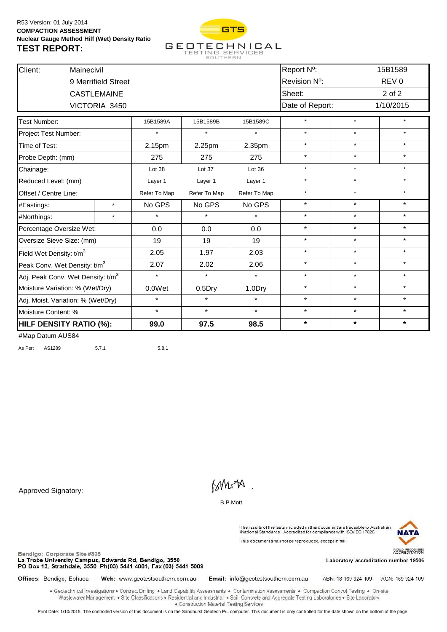

| Client:                                       | Mainecivil              |                     |              |              |              | Report N <sup>o</sup> : |         | 15B1589          |
|-----------------------------------------------|-------------------------|---------------------|--------------|--------------|--------------|-------------------------|---------|------------------|
|                                               |                         | 9 Merrifield Street |              |              |              | Revision Nº:            |         | REV <sub>0</sub> |
|                                               |                         | <b>CASTLEMAINE</b>  |              |              |              | Sheet:                  |         | 2 of 2           |
|                                               |                         | VICTORIA 3450       |              |              |              | Date of Report:         |         | 1/10/2015        |
| Test Number:                                  |                         |                     | 15B1589A     | 15B1589B     | 15B1589C     | $\star$                 | $\star$ | $\star$          |
|                                               | Project Test Number:    |                     |              | $\star$      |              | $\star$                 | $\star$ | $\star$          |
| Time of Test:                                 |                         |                     | 2.15pm       | 2.25pm       | 2.35pm       | $\star$                 | $\star$ | $\star$          |
| Probe Depth: (mm)                             |                         |                     | 275          | 275          | 275          | $\star$                 | $\star$ | $\star$          |
| Chainage:                                     |                         |                     | Lot 38       | Lot 37       | Lot 36       | $\star$                 | $\star$ | $\star$          |
|                                               | Reduced Level: (mm)     |                     |              | Layer 1      | Layer 1      | $\star$                 | $\star$ |                  |
| Offset / Centre Line:                         |                         |                     | Refer To Map | Refer To Map | Refer To Map | $\star$                 | $\star$ | $\star$          |
| #Eastings:                                    |                         | $\star$             | No GPS       | No GPS       | No GPS       | $\star$                 | $\star$ | $\star$          |
| #Northings:                                   |                         | $\star$             | $\star$      | $\star$      | $\star$      | $\star$                 | $\star$ | $\star$          |
| Percentage Oversize Wet:                      |                         |                     | 0.0          | 0.0          | 0.0          | $\star$                 | $\star$ | $\star$          |
| Oversize Sieve Size: (mm)                     |                         |                     | 19           | 19           | 19           | $\star$                 | $\star$ | $\star$          |
| Field Wet Density: t/m <sup>3</sup>           |                         |                     | 2.05         | 1.97         | 2.03         | $\star$                 | $\star$ | $\star$          |
| Peak Conv. Wet Density: t/m <sup>3</sup>      |                         |                     | 2.07         | 2.02         | 2.06         | $\star$                 | $\star$ | $\star$          |
| Adj. Peak Conv. Wet Density: t/m <sup>3</sup> |                         |                     | $\star$      | $\star$      | $\star$      | $\star$                 | $\star$ | $\star$          |
| Moisture Variation: % (Wet/Dry)               |                         |                     | 0.0Wet       | $0.5$ Dry    | 1.0Dry       | $\star$                 | $\star$ | $\star$          |
| Adj. Moist. Variation: % (Wet/Dry)            |                         |                     | $\star$      | $\star$      | $\star$      | $\star$                 | $\star$ | $\star$          |
| Moisture Content: %                           |                         |                     | $\star$      | $\star$      | $\star$      | $\star$                 | $\star$ | $\star$          |
|                                               | HILF DENSITY RATIO (%): |                     |              | 97.5         | 98.5         | $\star$                 | $\star$ | $\star$          |

As Per: AS1289 5.7.1 5.8.1

Approved Signatory:

**BMSA** 

B.P.Mott

The results of the tests included in this document are traceable to Australian<br>/National Standards. Accredited for compliance with ISO/IEC 17025. This document shall not be reproduced, except in full.



Bendigo: Corporate Site #835

La Trobe University Campus, Edwards Rd, Bendigo, 3550 PO Box 13, Strathdale, 3550 Ph(03) 5441 4881, Fax (03) 5441 5089 Laboratory accreditation number 19506

Offices: Bendigo, Echuca Web: www.geotestsouthern.com.au Email: info@geotestsouthern.com.au

ABN: 18 169 924 109 ACN: 169 924 109

. Geotechnical Investigations . Contract Drilling . Land Capability Assessments . Contamination Assessments . Compaction Control Testing . On-site Wastewater Management . Site Classifications . Residential and Industrial . Soil, Concrete and Aggregate Testing Laboratories . Site Laboratory · Construction Material Testing Services

Print Date: 1/10/2015. The controlled version of this document is on the Sandhurst Geotech P/L computer. This document is only controlled for the date shown on the bottom of the page.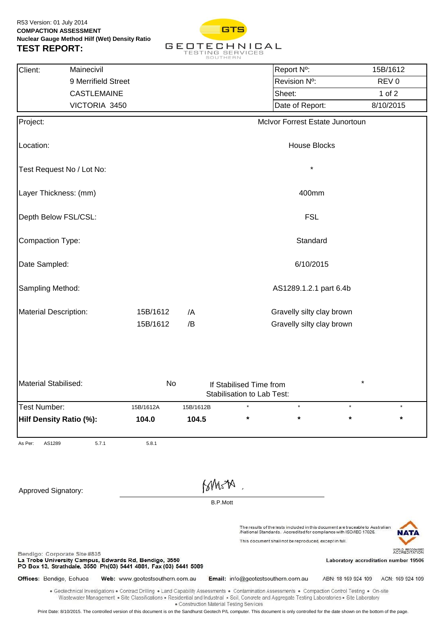

| Client:<br>Mainecivil                                                                                                                                                                   |                     |                                 |                                          |                           |                                                       | Report N°:                                             |                                                                                                                                                                                                                                                                                                       | 15B/1612         |                      |  |
|-----------------------------------------------------------------------------------------------------------------------------------------------------------------------------------------|---------------------|---------------------------------|------------------------------------------|---------------------------|-------------------------------------------------------|--------------------------------------------------------|-------------------------------------------------------------------------------------------------------------------------------------------------------------------------------------------------------------------------------------------------------------------------------------------------------|------------------|----------------------|--|
|                                                                                                                                                                                         | 9 Merrifield Street |                                 |                                          |                           |                                                       | Revision Nº:                                           |                                                                                                                                                                                                                                                                                                       | REV <sub>0</sub> |                      |  |
|                                                                                                                                                                                         | <b>CASTLEMAINE</b>  |                                 |                                          |                           |                                                       | Sheet:                                                 |                                                                                                                                                                                                                                                                                                       | 1 of $2$         |                      |  |
|                                                                                                                                                                                         | VICTORIA 3450       |                                 |                                          |                           |                                                       | Date of Report:                                        |                                                                                                                                                                                                                                                                                                       | 8/10/2015        |                      |  |
| Project:                                                                                                                                                                                |                     |                                 |                                          |                           |                                                       |                                                        | McIvor Forrest Estate Junortoun                                                                                                                                                                                                                                                                       |                  |                      |  |
| Location:                                                                                                                                                                               |                     |                                 |                                          |                           |                                                       | <b>House Blocks</b>                                    |                                                                                                                                                                                                                                                                                                       |                  |                      |  |
| Test Request No / Lot No:                                                                                                                                                               |                     |                                 |                                          |                           |                                                       | $\star$                                                |                                                                                                                                                                                                                                                                                                       |                  |                      |  |
| Layer Thickness: (mm)                                                                                                                                                                   |                     |                                 |                                          |                           |                                                       | 400mm                                                  |                                                                                                                                                                                                                                                                                                       |                  |                      |  |
| Depth Below FSL/CSL:                                                                                                                                                                    |                     |                                 |                                          |                           |                                                       | <b>FSL</b>                                             |                                                                                                                                                                                                                                                                                                       |                  |                      |  |
| Compaction Type:                                                                                                                                                                        |                     |                                 |                                          |                           |                                                       | Standard                                               |                                                                                                                                                                                                                                                                                                       |                  |                      |  |
| Date Sampled:                                                                                                                                                                           |                     |                                 | 6/10/2015                                |                           |                                                       |                                                        |                                                                                                                                                                                                                                                                                                       |                  |                      |  |
| Sampling Method:                                                                                                                                                                        |                     |                                 | AS1289.1.2.1 part 6.4b                   |                           |                                                       |                                                        |                                                                                                                                                                                                                                                                                                       |                  |                      |  |
| <b>Material Description:</b>                                                                                                                                                            | /A                  |                                 |                                          | Gravelly silty clay brown |                                                       |                                                        |                                                                                                                                                                                                                                                                                                       |                  |                      |  |
|                                                                                                                                                                                         |                     | 15B/1612                        | /B                                       |                           |                                                       | Gravelly silty clay brown                              |                                                                                                                                                                                                                                                                                                       |                  |                      |  |
| <b>Material Stabilised:</b>                                                                                                                                                             |                     | No                              |                                          |                           | If Stabilised Time from<br>Stabilisation to Lab Test: |                                                        | *                                                                                                                                                                                                                                                                                                     |                  |                      |  |
| Test Number:                                                                                                                                                                            |                     | 15B/1612A                       | 15B/1612B                                |                           |                                                       |                                                        |                                                                                                                                                                                                                                                                                                       |                  |                      |  |
| Hilf Density Ratio (%):                                                                                                                                                                 |                     | 104.0                           | 104.5                                    |                           | $\ast$                                                | $\star$                                                | $\star$                                                                                                                                                                                                                                                                                               |                  | $\star$              |  |
| As Per:<br>AS1289                                                                                                                                                                       | 5.7.1               | 5.8.1                           |                                          |                           |                                                       |                                                        |                                                                                                                                                                                                                                                                                                       |                  |                      |  |
| Approved Signatory:                                                                                                                                                                     |                     |                                 |                                          | MMSA                      |                                                       |                                                        |                                                                                                                                                                                                                                                                                                       |                  |                      |  |
|                                                                                                                                                                                         |                     |                                 |                                          | <b>B.P.Mott</b>           |                                                       |                                                        |                                                                                                                                                                                                                                                                                                       |                  |                      |  |
|                                                                                                                                                                                         |                     |                                 |                                          |                           |                                                       | This document shall not be reproduced, except in full. | The results of the tests included in this document are traceable to Australian<br>/National Standards. Accredited for compliance with ISO/IEC 17025.                                                                                                                                                  |                  | N A T                |  |
| Bendigo: Corporate Site #835<br>La Trobe University Campus, Edwards Rd, Bendigo, 3550<br>PO Box 13, Strathdale, 3550 Ph(03) 5441 4881, Fax (03) 5441 5089                               |                     |                                 |                                          |                           |                                                       |                                                        | Laboratory accreditation number 19506                                                                                                                                                                                                                                                                 |                  | <b>ACCREDITATION</b> |  |
| Offices: Bendigo, Echuca                                                                                                                                                                |                     | Web: www.geotestsouthern.com.au |                                          |                           |                                                       | Email: info@geotestsouthern.com.au                     | ABN: 18 169 924 109                                                                                                                                                                                                                                                                                   |                  | ACN: 169 924 109     |  |
|                                                                                                                                                                                         |                     |                                 |                                          |                           |                                                       |                                                        | • Geotechnical Investigations • Contract Drilling • Land Capability Assessments • Contamination Assessments • Compaction Control Testing • On-site<br>Wastewater Management · Site Classifications · Residential and Industrial · Soil, Concrete and Aggregate Testing Laboratories · Site Laboratory |                  |                      |  |
| Print Date: 8/10/2015. The controlled version of this document is on the Sandhurst Geotech P/L computer. This document is only controlled for the date shown on the bottom of the page. |                     |                                 | • Construction Material Testing Services |                           |                                                       |                                                        |                                                                                                                                                                                                                                                                                                       |                  |                      |  |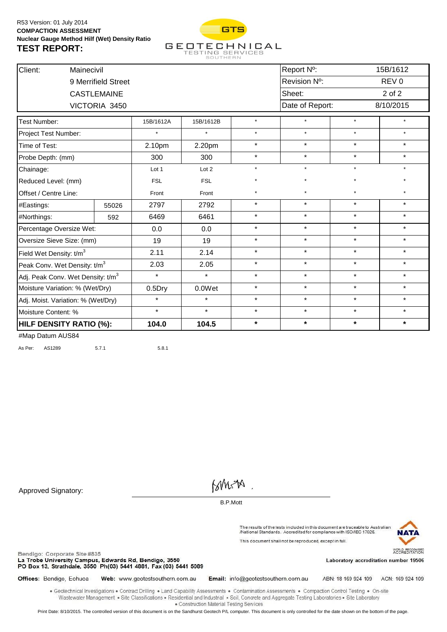

| Client:                                       | Mainecivil                     |                     |            |            |         | Report Nº:      |         | 15B/1612         |
|-----------------------------------------------|--------------------------------|---------------------|------------|------------|---------|-----------------|---------|------------------|
|                                               |                                | 9 Merrifield Street |            |            |         | Revision Nº:    |         | REV <sub>0</sub> |
|                                               |                                | <b>CASTLEMAINE</b>  |            |            |         | Sheet:          |         | 2 of 2           |
|                                               |                                | VICTORIA 3450       |            |            |         | Date of Report: |         | 8/10/2015        |
| <b>Test Number:</b>                           |                                |                     | 15B/1612A  | 15B/1612B  | $\star$ | $\star$         | $\star$ | $\star$          |
| Project Test Number:                          |                                |                     |            | $\star$    | $\star$ | $\star$         | $\star$ | $\star$          |
| Time of Test:                                 |                                |                     | 2.10pm     | 2.20pm     | $\star$ | $\star$         | $\star$ | $\star$          |
| Probe Depth: (mm)                             |                                |                     | 300        | 300        | $\star$ | $\star$         | $\star$ | $\star$          |
| Chainage:                                     |                                |                     | Lot 1      | Lot 2      | $\star$ | $\star$         | $\star$ | $\star$          |
| Reduced Level: (mm)                           |                                |                     | <b>FSL</b> | <b>FSL</b> | $\star$ | $\star$         | $\star$ | $\star$          |
| Offset / Centre Line:                         |                                |                     | Front      | Front      | $\star$ | $\star$         | $\star$ | $\star$          |
| #Eastings:                                    |                                | 55026               | 2797       | 2792       | $\star$ | $\star$         | $\star$ | $\star$          |
| #Northings:                                   |                                | 592                 | 6469       | 6461       | $\star$ | $\star$         | $\star$ | $\star$          |
| Percentage Oversize Wet:                      |                                |                     | 0.0        | 0.0        | $\star$ | $\star$         | $\star$ | $\star$          |
| Oversize Sieve Size: (mm)                     |                                |                     | 19         | 19         | $\star$ | $\star$         | $\star$ | $\star$          |
| Field Wet Density: t/m <sup>3</sup>           |                                |                     | 2.11       | 2.14       | $\star$ | $\star$         | $\star$ | $\star$          |
| Peak Conv. Wet Density: t/m <sup>3</sup>      |                                |                     | 2.03       | 2.05       | $\star$ | $\star$         | $\star$ | $\star$          |
| Adj. Peak Conv. Wet Density: t/m <sup>3</sup> |                                |                     | $\star$    | $\star$    | $\star$ | $\star$         | $\star$ | $\star$          |
| Moisture Variation: % (Wet/Dry)               |                                |                     | $0.5$ Dry  | 0.0Wet     | $\star$ | $\star$         | $\star$ | $\star$          |
| Adj. Moist. Variation: % (Wet/Dry)            |                                |                     | $\star$    | $\star$    | $\star$ | $\star$         | $\star$ | $\star$          |
| Moisture Content: %                           |                                |                     | $\star$    | $\star$    | $\star$ | $\star$         | $\star$ | $\star$          |
|                                               | <b>HILF DENSITY RATIO (%):</b> |                     |            | 104.5      | $\star$ | $\star$         | $\star$ | $\star$          |

As Per: AS1289 5.7.1 5.8.1

Approved Signatory:

**BMSA** 

B.P.Mott

The results of the tests included in this document are traceable to Australian<br>/National Standards. Accredited for compliance with ISO/IEC 17025. This document shall not be reproduced, except in full.



Bendigo: Corporate Site #835

La Trobe University Campus, Edwards Rd, Bendigo, 3550 PO Box 13, Strathdale, 3550 Ph(03) 5441 4881, Fax (03) 5441 5089 Laboratory accreditation number 19506

Offices: Bendigo, Echuca Web: www.geotestsouthern.com.au Email: info@geotestsouthern.com.au

ABN: 18 169 924 109 ACN: 169 924 109

. Geotechnical Investigations . Contract Drilling . Land Capability Assessments . Contamination Assessments . Compaction Control Testing . On-site Wastewater Management . Site Classifications . Residential and Industrial . Soil, Concrete and Aggregate Testing Laboratories . Site Laboratory · Construction Material Testing Services

Print Date: 8/10/2015. The controlled version of this document is on the Sandhurst Geotech P/L computer. This document is only controlled for the date shown on the bottom of the page.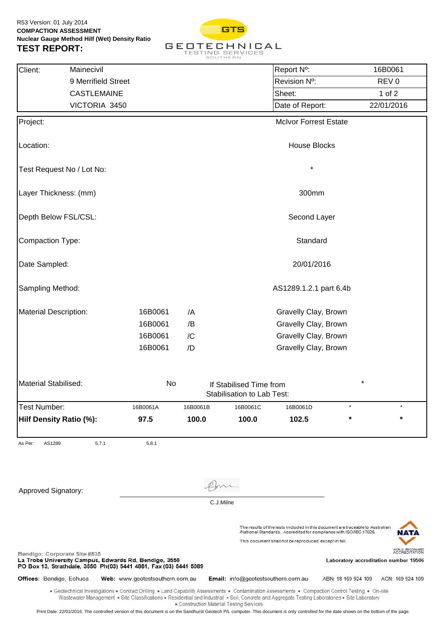

| Client:<br>Mainecivil                                                                                                                                     |                                                                                                                                                                                                                                                                                                       |          |                                                              | Report N°:                                                                                                                                                                                                     |                     | 16B0061                                                       |  |  |  |
|-----------------------------------------------------------------------------------------------------------------------------------------------------------|-------------------------------------------------------------------------------------------------------------------------------------------------------------------------------------------------------------------------------------------------------------------------------------------------------|----------|--------------------------------------------------------------|----------------------------------------------------------------------------------------------------------------------------------------------------------------------------------------------------------------|---------------------|---------------------------------------------------------------|--|--|--|
|                                                                                                                                                           | 9 Merrifield Street                                                                                                                                                                                                                                                                                   |          |                                                              | Revision Nº:                                                                                                                                                                                                   |                     | REV <sub>0</sub>                                              |  |  |  |
|                                                                                                                                                           | <b>CASTLEMAINE</b>                                                                                                                                                                                                                                                                                    |          |                                                              | Sheet:                                                                                                                                                                                                         |                     | $1$ of $2$                                                    |  |  |  |
|                                                                                                                                                           | VICTORIA 3450                                                                                                                                                                                                                                                                                         |          |                                                              | Date of Report:                                                                                                                                                                                                |                     | 22/01/2016                                                    |  |  |  |
| Project:                                                                                                                                                  |                                                                                                                                                                                                                                                                                                       |          |                                                              | <b>McIvor Forrest Estate</b>                                                                                                                                                                                   |                     |                                                               |  |  |  |
| Location:                                                                                                                                                 |                                                                                                                                                                                                                                                                                                       |          |                                                              | <b>House Blocks</b>                                                                                                                                                                                            |                     |                                                               |  |  |  |
| Test Request No / Lot No:                                                                                                                                 |                                                                                                                                                                                                                                                                                                       |          |                                                              | $\star$                                                                                                                                                                                                        |                     |                                                               |  |  |  |
| Layer Thickness: (mm)                                                                                                                                     |                                                                                                                                                                                                                                                                                                       |          |                                                              | 300mm                                                                                                                                                                                                          |                     |                                                               |  |  |  |
| Depth Below FSL/CSL:                                                                                                                                      |                                                                                                                                                                                                                                                                                                       |          |                                                              | Second Layer                                                                                                                                                                                                   |                     |                                                               |  |  |  |
| Compaction Type:                                                                                                                                          |                                                                                                                                                                                                                                                                                                       |          |                                                              | Standard                                                                                                                                                                                                       |                     |                                                               |  |  |  |
| Date Sampled:                                                                                                                                             |                                                                                                                                                                                                                                                                                                       |          |                                                              | 20/01/2016                                                                                                                                                                                                     |                     |                                                               |  |  |  |
| Sampling Method:                                                                                                                                          |                                                                                                                                                                                                                                                                                                       |          | AS1289.1.2.1 part 6.4b                                       |                                                                                                                                                                                                                |                     |                                                               |  |  |  |
| Material Description:                                                                                                                                     | 16B0061                                                                                                                                                                                                                                                                                               | /A       |                                                              | Gravelly Clay, Brown                                                                                                                                                                                           |                     |                                                               |  |  |  |
|                                                                                                                                                           | 16B0061                                                                                                                                                                                                                                                                                               | /B       |                                                              | Gravelly Clay, Brown                                                                                                                                                                                           |                     |                                                               |  |  |  |
|                                                                                                                                                           | 16B0061                                                                                                                                                                                                                                                                                               | /C       |                                                              | Gravelly Clay, Brown                                                                                                                                                                                           |                     |                                                               |  |  |  |
|                                                                                                                                                           | 16B0061                                                                                                                                                                                                                                                                                               | /D       |                                                              | Gravelly Clay, Brown                                                                                                                                                                                           |                     |                                                               |  |  |  |
| Material Stabilised:                                                                                                                                      |                                                                                                                                                                                                                                                                                                       | No       | If Stabilised Time from<br><b>Stabilisation to Lab Test:</b> |                                                                                                                                                                                                                | $\star$             |                                                               |  |  |  |
| <b>Test Number:</b>                                                                                                                                       | 16B0061A                                                                                                                                                                                                                                                                                              | 16B0061B | 16B0061C                                                     | 16B0061D                                                                                                                                                                                                       |                     |                                                               |  |  |  |
| Hilf Density Ratio (%):                                                                                                                                   | 97.5                                                                                                                                                                                                                                                                                                  | 100.0    | 100.0                                                        | 102.5                                                                                                                                                                                                          | $\star$             | $\star$                                                       |  |  |  |
| As Per:<br>AS1289                                                                                                                                         | 5.7.1<br>5.8.1                                                                                                                                                                                                                                                                                        |          |                                                              |                                                                                                                                                                                                                |                     |                                                               |  |  |  |
|                                                                                                                                                           |                                                                                                                                                                                                                                                                                                       |          |                                                              |                                                                                                                                                                                                                |                     |                                                               |  |  |  |
| Approved Signatory:                                                                                                                                       |                                                                                                                                                                                                                                                                                                       |          |                                                              |                                                                                                                                                                                                                |                     |                                                               |  |  |  |
|                                                                                                                                                           |                                                                                                                                                                                                                                                                                                       |          | C.J.Milne                                                    |                                                                                                                                                                                                                |                     |                                                               |  |  |  |
|                                                                                                                                                           |                                                                                                                                                                                                                                                                                                       |          |                                                              | The results of the tests included in this document are traceable to Australian<br>/National Standards. Accredited for compliance with ISO/IEC 17025.<br>This document shall not be reproduced, except in full. |                     | N ZAN<br>WORLD RECOGNISED                                     |  |  |  |
| Bendigo: Corporate Site #835<br>La Trobe University Campus, Edwards Rd, Bendigo, 3550<br>PO Box 13, Strathdale, 3550 Ph(03) 5441 4881, Fax (03) 5441 5089 |                                                                                                                                                                                                                                                                                                       |          |                                                              |                                                                                                                                                                                                                |                     | <b>ACCREDITATION</b><br>Laboratory accreditation number 19506 |  |  |  |
| Offices: Bendigo, Echuca                                                                                                                                  | Web: www.geotestsouthern.com.au                                                                                                                                                                                                                                                                       |          | Email: info@geotestsouthern.com.au                           |                                                                                                                                                                                                                | ABN: 18 169 924 109 | ACN: 169 924 109                                              |  |  |  |
|                                                                                                                                                           | . Geotechnical Investigations . Contract Drilling . Land Capability Assessments . Contamination Assessments . Compaction Control Testing . On-site<br>Wastewater Management . Site Classifications . Residential and Industrial . Soil, Concrete and Aggregate Testing Laboratories . Site Laboratory |          | • Construction Material Testing Services                     |                                                                                                                                                                                                                |                     |                                                               |  |  |  |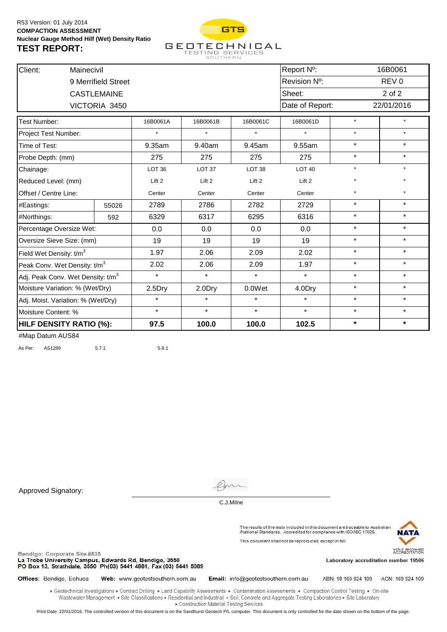

| Client:                                       | Mainecivil                     |                     |                   |                   |                   | Report N°:        |         | 16B0061          |  |
|-----------------------------------------------|--------------------------------|---------------------|-------------------|-------------------|-------------------|-------------------|---------|------------------|--|
|                                               |                                | 9 Merrifield Street |                   |                   |                   | Revision Nº:      |         | REV <sub>0</sub> |  |
|                                               |                                | <b>CASTLEMAINE</b>  |                   |                   |                   | Sheet:            |         | $2$ of $2$       |  |
|                                               |                                | VICTORIA 3450       |                   |                   |                   | Date of Report:   |         | 22/01/2016       |  |
| Test Number:                                  |                                |                     | 16B0061A          | 16B0061B          | 16B0061C          | 16B0061D          | $\star$ | $\star$          |  |
| Project Test Number:                          |                                |                     |                   | $\star$           |                   | $\star$           | $\star$ | $\star$          |  |
| Time of Test:                                 |                                |                     | 9.35am            | 9.40am            | 9.45am            | 9.55am            | $\star$ | $\star$          |  |
| Probe Depth: (mm)                             |                                |                     | 275               | 275               | 275               | 275               | $\star$ | $\star$          |  |
| Chainage:                                     |                                |                     | LOT <sub>36</sub> | LOT <sub>37</sub> | LOT <sub>38</sub> | LOT <sub>40</sub> | $\star$ | $\star$          |  |
| Reduced Level: (mm)                           |                                |                     | Lift 2            | Lift 2            | Lift 2            | Lift 2            | $\star$ |                  |  |
| Offset / Centre Line:                         |                                |                     | Center            | Center            | Center            | Center            | $\star$ | $\star$          |  |
| #Eastings:                                    |                                | 55026               | 2789              | 2786              | 2782              | 2729              | $\star$ | $\star$          |  |
| #Northings:                                   |                                | 592                 | 6329              | 6317              | 6295              | 6316              | $\star$ | $\star$          |  |
| Percentage Oversize Wet:                      |                                |                     | 0.0               | 0.0               | 0.0               | 0.0               | $\star$ | $\star$          |  |
| Oversize Sieve Size: (mm)                     |                                |                     | 19                | 19                | 19                | 19                | $\star$ | $\star$          |  |
| Field Wet Density: t/m <sup>3</sup>           |                                |                     | 1.97              | 2.06              | 2.09              | 2.02              | $\star$ | $\star$          |  |
| Peak Conv. Wet Density: t/m <sup>3</sup>      |                                |                     | 2.02              | 2.06              | 2.09              | 1.97              | $\star$ | $\star$          |  |
| Adj. Peak Conv. Wet Density: t/m <sup>3</sup> |                                |                     | $\star$           | $\star$           | $\star$           | $\star$           | $\star$ | $\star$          |  |
| Moisture Variation: % (Wet/Dry)               |                                |                     | 2.5Dry            | 2.0Dry            | 0.0Wet            | 4.0Dry            | $\star$ | $\star$          |  |
| Adj. Moist. Variation: % (Wet/Dry)            |                                |                     | $\star$           | $\star$           | $\star$           | $\star$           | $\star$ | $\star$          |  |
| Moisture Content: %                           |                                |                     | $\star$           | $\star$           | $\star$           | $\star$           | $\star$ | $\star$          |  |
|                                               | <b>HILF DENSITY RATIO (%):</b> |                     |                   | 100.0             | 100.0             | 102.5             | $\star$ | $\star$          |  |

As Per: AS1289 5.7.1 5.8.1

Approved Signatory:

Bendigo: Corporate Site #835



C.J.Milne

The results of the tests included in this document are traceable to Australian<br>/National Standards. Accredited for compliance with ISO/IEC 17025. This document shall not be reproduced, except in full.



La Trobe University Campus, Edwards Rd, Bendigo, 3550 PO Box 13, Strathdale, 3550 Ph(03) 5441 4881, Fax (03) 5441 5089

Offices: Bendigo, Echuca Web: www.geotestsouthern.com.au Email: info@geotestsouthern.com.au

ABN: 18 169 924 109 ACN: 169 924 109

Laboratory accreditation number 19506

. Geotechnical Investigations . Contract Drilling . Land Capability Assessments . Contamination Assessments . Compaction Control Testing . On-site Wastewater Management . Site Classifications . Residential and Industrial . Soil, Concrete and Aggregate Testing Laboratories . Site Laboratory · Construction Material Testing Services

Print Date: 22/01/2016. The controlled version of this document is on the Sandhurst Geotech P/L computer. This document is only controlled for the date shown on the bottom of the page.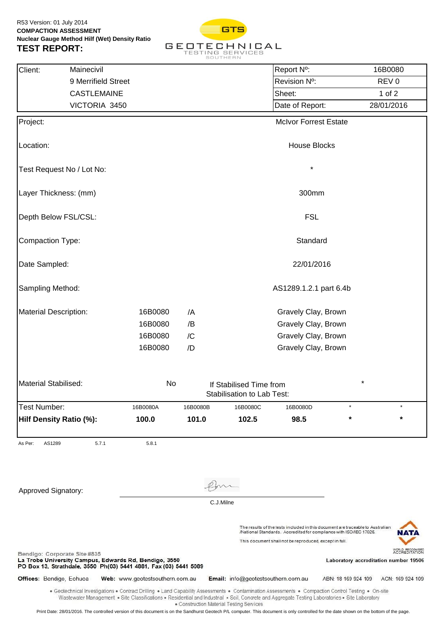

| Client:<br>Mainecivil                                                                                                                                                                                                                                                                                 |                                 |           |                                                       | Report Nº:                                                                                                                   | 16B0080                                                                        |                      |
|-------------------------------------------------------------------------------------------------------------------------------------------------------------------------------------------------------------------------------------------------------------------------------------------------------|---------------------------------|-----------|-------------------------------------------------------|------------------------------------------------------------------------------------------------------------------------------|--------------------------------------------------------------------------------|----------------------|
| 9 Merrifield Street                                                                                                                                                                                                                                                                                   |                                 |           |                                                       | Revision Nº:                                                                                                                 | REV <sub>0</sub>                                                               |                      |
| <b>CASTLEMAINE</b>                                                                                                                                                                                                                                                                                    |                                 |           |                                                       | Sheet:                                                                                                                       | 1 of $2$                                                                       |                      |
| VICTORIA 3450                                                                                                                                                                                                                                                                                         |                                 |           |                                                       | Date of Report:                                                                                                              | 28/01/2016                                                                     |                      |
| Project:                                                                                                                                                                                                                                                                                              |                                 |           |                                                       | <b>McIvor Forrest Estate</b>                                                                                                 |                                                                                |                      |
| Location:                                                                                                                                                                                                                                                                                             |                                 |           |                                                       | <b>House Blocks</b>                                                                                                          |                                                                                |                      |
| Test Request No / Lot No:                                                                                                                                                                                                                                                                             |                                 |           |                                                       | $\star$                                                                                                                      |                                                                                |                      |
| Layer Thickness: (mm)                                                                                                                                                                                                                                                                                 |                                 |           |                                                       | 300mm                                                                                                                        |                                                                                |                      |
| Depth Below FSL/CSL:                                                                                                                                                                                                                                                                                  |                                 |           |                                                       | <b>FSL</b>                                                                                                                   |                                                                                |                      |
| Compaction Type:                                                                                                                                                                                                                                                                                      |                                 |           |                                                       | Standard                                                                                                                     |                                                                                |                      |
| Date Sampled:                                                                                                                                                                                                                                                                                         |                                 |           |                                                       | 22/01/2016                                                                                                                   |                                                                                |                      |
| Sampling Method:                                                                                                                                                                                                                                                                                      |                                 |           |                                                       | AS1289.1.2.1 part 6.4b                                                                                                       |                                                                                |                      |
| <b>Material Description:</b>                                                                                                                                                                                                                                                                          | 16B0080                         | /A        |                                                       | Gravely Clay, Brown                                                                                                          |                                                                                |                      |
|                                                                                                                                                                                                                                                                                                       | 16B0080                         | /B        |                                                       | Gravely Clay, Brown                                                                                                          |                                                                                |                      |
|                                                                                                                                                                                                                                                                                                       | 16B0080                         | /C        |                                                       | Gravely Clay, Brown                                                                                                          |                                                                                |                      |
|                                                                                                                                                                                                                                                                                                       | 16B0080                         | /D        |                                                       | Gravely Clay, Brown                                                                                                          |                                                                                |                      |
| Material Stabilised:                                                                                                                                                                                                                                                                                  | No                              |           | If Stabilised Time from<br>Stabilisation to Lab Test: |                                                                                                                              | $\star$                                                                        |                      |
| Test Number:                                                                                                                                                                                                                                                                                          | 16B0080A                        | 16B0080B  | 16B0080C                                              | 16B0080D                                                                                                                     |                                                                                |                      |
| Hilf Density Ratio (%):                                                                                                                                                                                                                                                                               | 100.0                           | 101.0     | 102.5                                                 | 98.5                                                                                                                         | *                                                                              | $\star$              |
| As Per:<br>5.7.1<br>AS1289                                                                                                                                                                                                                                                                            | 5.8.1                           |           |                                                       |                                                                                                                              |                                                                                |                      |
|                                                                                                                                                                                                                                                                                                       |                                 |           |                                                       |                                                                                                                              |                                                                                |                      |
| <b>Approved Signatory:</b>                                                                                                                                                                                                                                                                            |                                 | C.J.Milne |                                                       |                                                                                                                              |                                                                                |                      |
|                                                                                                                                                                                                                                                                                                       |                                 |           |                                                       |                                                                                                                              |                                                                                |                      |
|                                                                                                                                                                                                                                                                                                       |                                 |           |                                                       | /National Standards. Accredited for compliance with ISO/IEC 17025.<br>This document shall not be reproduced, except in full. | The results of the tests included in this document are traceable to Australian | MAT                  |
| Bendigo: Corporate Site #835<br>La Trobe University Campus, Edwards Rd, Bendigo, 3550<br>PO Box 13, Strathdale, 3550 Ph(03) 5441 4881, Fax (03) 5441 5089                                                                                                                                             |                                 |           |                                                       |                                                                                                                              | Laboratory accreditation number 19506                                          | <b>ACCREDITATION</b> |
| Offices: Bendigo, Echuca                                                                                                                                                                                                                                                                              | Web: www.geotestsouthern.com.au |           | Email: info@geotestsouthern.com.au                    |                                                                                                                              | ABN: 18 169 924 109                                                            | ACN: 169 924 109     |
| . Geotechnical Investigations . Contract Drilling . Land Capability Assessments . Contamination Assessments . Compaction Control Testing . On-site<br>Wastewater Management • Site Classifications • Residential and Industrial • Soil, Concrete and Aggregate Testing Laboratories • Site Laboratory |                                 |           |                                                       |                                                                                                                              |                                                                                |                      |

· Construction Material Testing Services

Print Date: 28/01/2016. The controlled version of this document is on the Sandhurst Geotech P/L computer. This document is only controlled for the date shown on the bottom of the page.